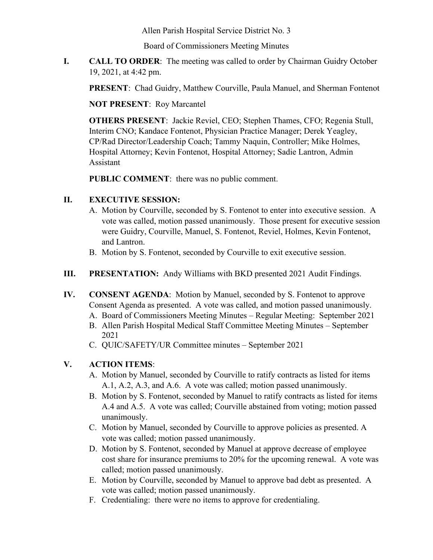Allen Parish Hospital Service District No. 3

Board of Commissioners Meeting Minutes

**I. CALL TO ORDER**: The meeting was called to order by Chairman Guidry October 19, 2021, at 4:42 pm.

**PRESENT**: Chad Guidry, Matthew Courville, Paula Manuel, and Sherman Fontenot

**NOT PRESENT**: Roy Marcantel

**OTHERS PRESENT**: Jackie Reviel, CEO; Stephen Thames, CFO; Regenia Stull, Interim CNO; Kandace Fontenot, Physician Practice Manager; Derek Yeagley, CP/Rad Director/Leadership Coach; Tammy Naquin, Controller; Mike Holmes, Hospital Attorney; Kevin Fontenot, Hospital Attorney; Sadie Lantron, Admin Assistant

**PUBLIC COMMENT**: there was no public comment.

## **II. EXECUTIVE SESSION:**

- A. Motion by Courville, seconded by S. Fontenot to enter into executive session. A vote was called, motion passed unanimously. Those present for executive session were Guidry, Courville, Manuel, S. Fontenot, Reviel, Holmes, Kevin Fontenot, and Lantron.
- B. Motion by S. Fontenot, seconded by Courville to exit executive session.
- **III. PRESENTATION:** Andy Williams with BKD presented 2021 Audit Findings.
- **IV. CONSENT AGENDA**: Motion by Manuel, seconded by S. Fontenot to approve Consent Agenda as presented. A vote was called, and motion passed unanimously.
	- A. Board of Commissioners Meeting Minutes Regular Meeting: September 2021
	- B. Allen Parish Hospital Medical Staff Committee Meeting Minutes September 2021
	- C. QUIC/SAFETY/UR Committee minutes September 2021

## **V. ACTION ITEMS**:

- A. Motion by Manuel, seconded by Courville to ratify contracts as listed for items A.1, A.2, A.3, and A.6. A vote was called; motion passed unanimously.
- B. Motion by S. Fontenot, seconded by Manuel to ratify contracts as listed for items A.4 and A.5. A vote was called; Courville abstained from voting; motion passed unanimously.
- C. Motion by Manuel, seconded by Courville to approve policies as presented. A vote was called; motion passed unanimously.
- D. Motion by S. Fontenot, seconded by Manuel at approve decrease of employee cost share for insurance premiums to 20% for the upcoming renewal. A vote was called; motion passed unanimously.
- E. Motion by Courville, seconded by Manuel to approve bad debt as presented. A vote was called; motion passed unanimously.
- F. Credentialing: there were no items to approve for credentialing.